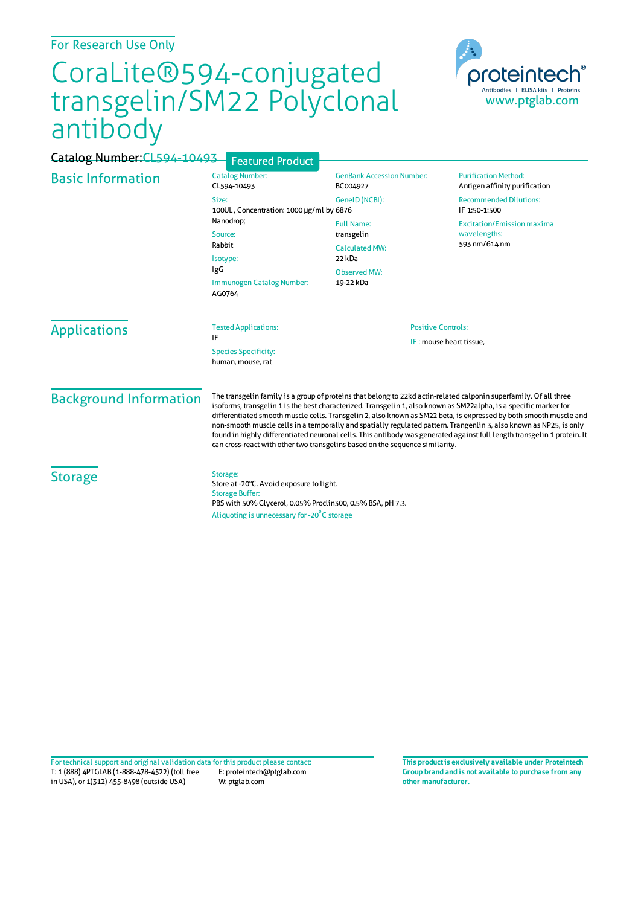## For Research Use Only

## CoraLite®594-conjugated transgelin/SM22 Polyclonal antibody



| Catalog Number: CL594-10493   | <b>Featured Product</b>                                                                                                                                                                                                                                                                                                                                                                                                                                                                                                                                                                                                                                                                      |                                                                                                        |                                                                    |
|-------------------------------|----------------------------------------------------------------------------------------------------------------------------------------------------------------------------------------------------------------------------------------------------------------------------------------------------------------------------------------------------------------------------------------------------------------------------------------------------------------------------------------------------------------------------------------------------------------------------------------------------------------------------------------------------------------------------------------------|--------------------------------------------------------------------------------------------------------|--------------------------------------------------------------------|
| <b>Basic Information</b>      | <b>Catalog Number:</b><br>CL594-10493                                                                                                                                                                                                                                                                                                                                                                                                                                                                                                                                                                                                                                                        | <b>GenBank Accession Number:</b><br>BC004927                                                           | <b>Purification Method:</b><br>Antigen affinity purification       |
|                               | Size:<br>100UL, Concentration: 1000 µg/ml by 6876                                                                                                                                                                                                                                                                                                                                                                                                                                                                                                                                                                                                                                            | GenelD (NCBI):                                                                                         | <b>Recommended Dilutions:</b><br>IF 1:50-1:500                     |
|                               | Nanodrop;<br>Source:<br>Rabbit<br>Isotype:<br>IgG<br>Immunogen Catalog Number:<br>AG0764                                                                                                                                                                                                                                                                                                                                                                                                                                                                                                                                                                                                     | <b>Full Name:</b><br>transgelin<br><b>Calculated MW:</b><br>22 kDa<br><b>Observed MW:</b><br>19-22 kDa | <b>Excitation/Emission maxima</b><br>wavelengths:<br>593 nm/614 nm |
| <b>Applications</b>           | <b>Tested Applications:</b><br>IF<br><b>Species Specificity:</b><br>human, mouse, rat                                                                                                                                                                                                                                                                                                                                                                                                                                                                                                                                                                                                        | <b>Positive Controls:</b><br>IF: mouse heart tissue,                                                   |                                                                    |
| <b>Background Information</b> | The transgelin family is a group of proteins that belong to 22kd actin-related calponin superfamily. Of all three<br>isoforms, transgelin 1 is the best characterized. Transgelin 1, also known as SM22alpha, is a specific marker for<br>differentiated smooth muscle cells. Transgelin 2, also known as SM22 beta, is expressed by both smooth muscle and<br>non-smooth muscle cells in a temporally and spatially regulated pattern. Trangenlin 3, also known as NP25, is only<br>found in highly differentiated neuronal cells. This antibody was generated against full length transgelin 1 protein. It<br>can cross-react with other two transgelins based on the sequence similarity. |                                                                                                        |                                                                    |
| <b>Storage</b>                | Storage:<br>Store at -20°C. Avoid exposure to light.<br><b>Storage Buffer:</b><br>PBS with 50% Glycerol, 0.05% Proclin300, 0.5% BSA, pH 7.3.                                                                                                                                                                                                                                                                                                                                                                                                                                                                                                                                                 |                                                                                                        |                                                                    |
|                               | Aliquoting is unnecessary for -20°C storage                                                                                                                                                                                                                                                                                                                                                                                                                                                                                                                                                                                                                                                  |                                                                                                        |                                                                    |

T: 1 (888) 4PTGLAB (1-888-478-4522) (toll free in USA), or 1(312) 455-8498 (outside USA) E: proteintech@ptglab.com W: ptglab.com Fortechnical support and original validation data forthis product please contact: **This productis exclusively available under Proteintech**

**Group brand and is not available to purchase from any other manufacturer.**